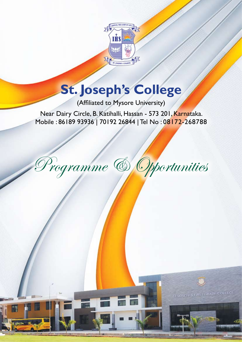

# **St. Joseph's College**

(Affiliated to Mysore University)

Near Dairy Circle, B. Katihalli, Hassan - 573 201, Karnataka. Mobile : 86189 93936 | 70192 26844 | Tel No : 08172-268788

Programme & Opportunities

ST JOSEPH'S FIRST GRADE COLLEGE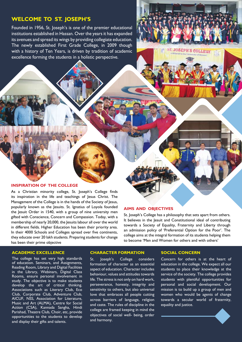### **WELCOME TO ST. JOSEPH'S**

Founded in 1956, St. Joseph's is one of the premier educational institutions established in Hassan. Over the years it has expanded its avenues and spread its wings by providing collegiate education. The newly established First Grade College, in 2009 though with a history of Ten Years, is driven by tradition of academic excellence forming the students in a holistic perspective.

#### **Inspiration of the College**

As a Christian minority college, St. Joseph's College finds its inspiration in the life and teachings of Jesus Christ. The Management of the College is in the hands of the Society of Jesus, popularly known as the Jesuits. St. Ignatius of Loyola founded the Jesuit Order in 1540, with a group of nine university men gifted with Conscience, Concern and Compassion. Today, with a membership of nearly 20,000, the Jesuits labour all over the world in different fields. Higher Education has been their priority area. In their 4000 Schools and Colleges spread over five continents, they educate over 20 lakh students. Preparing students for change has been their prime objective

#### **Aims and objectives**

St. Joseph's College has a philosophy that sets apart from others. It believes in the Jesuit and Constitutional ideal of contributing towards a Society of Equality, Fraternity and Liberty through an admission policy of 'Preferential Option for the Poor'. The college aims at the integral formation of its students helping them to become 'Men and Women for others and with others'

**JOSEPH'S COLLEGE** 

#### **academic excellence**

The college has set very high standards of education. Seminars, and Assignments, Reading Room, Library and Digital Facilities in the Library, Webinars, Digital Class Rooms, ensure personal involvement in study. The objective is to make students develop the art of critical thinking. Associations such as Literary Club, Eco Club, Corporate Club, Adventure Club, AICUF, NSS, Association for Literature, Music and Art (ALMA), Centre for Social Action (CSA), Kannada Sangha, Hindi Parishad, Theatre Club, Choir, etc, provide opportunities to the students to develop and display their gifts and talents.

#### **Character Formation**

St. Joseph's College considers formation of character as an essential aspect of education. Character includes behaviour, values and attitudes towards life. The stress is not only on hard work, perseverance, honesty, integrity and sensitivity to others, but also universal love that embraces all people cutting across barriers of language, religion and caste. The rules of discipline in the college are framed keeping in mind the objectives of social well- being, order and harmony.

#### **Social Concern**

Concern for others is at the heart of education in the college. We expect all our students to place their knowledge at the service of the society. The college provides students with plentiful opportunities for personal and social development. Our mission is to build up a group of men and women who would be agents of change towards a secular world of fraternity, equality and justice.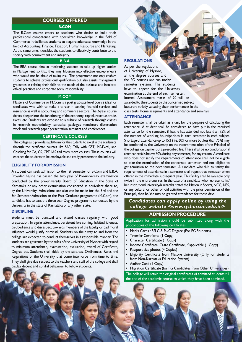#### **Courses offered B.COM**

The B.Com course caters to students who desire to build their professional competence with specialized knowledge in the field of Commerce. It facilitates students to acquire adequate knowledge in the field of Accounting, Finance, Taxation, Human Resource and Marketing. At the same time, it enables the students to effectively contribute to the society with commitment and integrity.

#### **B.B.A**

The BBA course aims at motivating students to take up higher studies in Management so that they may blossom into effective entrepreneurs who would not be afraid of taking risk. The programme not only enables students to achieve professional qualification but also assists management graduates in relating their skills to the needs of the business and inculcate ethical practices and corporate social responsibility.

#### **M.COM**

Masters of Commerce or M.Com is a post graduate level course ideal for candidates who wish to make a career in banking financial services and insurance as well as accounting and commerce sectors. The 2-year course delves deeper into the functioning of the economy, capital, revenue, trade, taxes, etc. Students are exposed to a culture of research through classes in research methodology, statistical packages mandatory dissertation work and research paper presentation seminars and conferences.

#### **Certificate Courses**

The college also provides a platform for the students to excel in the academics through the certificate courses like SAP, Tally with GST, MS-Excel, and Coaching for CA, CS, CPT, IAS and many more courses. These courses will enhance the students to be employable and ready prospects to the Industry.

#### **Eligibility for Admission**

A student can seek admission to the 1st Semester of B.Com and B.B.A. Provided he/she has passed the two year of Pre-university examination conducted by the pre-university Board of Education in the State of Karnataka or any other examination considered as equivalent there to, by the University. Admissions are also can be made for the 3rd and the 5th Semester.Admission to the Post Graduate programme (M.Com), the candidate has to pass the three year Degree programme conducted by the University in the state of Karnataka or any other state.

#### **Discipline**

Students must be punctual and attend classes regularly with good preparation. Irregular attendance, persistent late coming, habitual idleness, disobedience and disrespect towards members of the faculty or bad moral influence would justify dismissal. Students on their way to and from the college are expected to conduct themselves in a responsible manner. The students are governed by the rules of the University of Mysore with regard to minimum attendance, examination, evaluation, award of Certificate, Degree etc. Students shall abide by the statutes, Ordinances, Rules and Regulations of the University that come into force from time to time. They shall give due respect to the teachers and staff of the college and shall display decent and cordial behaviour to fellow students.

#### **Regulations**

As per the regulations of University of Mysore, all the degree courses and the PG courses are run under semester systems. The students have to appear for the University examination at the end of each semester. Internal Assessment marks of 20 will be awarded to the students by the concerned subject lecturers strictly valuating their performances in the class tests, home assignments and attendance and seminars.

#### **Attendance**

Each semester shall be taken as a unit for the purpose of calculating the attendance. A student shall be considered to have put in the required attendance for the semester, if he/she has attended not less than 75% of the number of working hours/periods in each semester in each subject. Shortage of attendance up to 15% ( i.e. 60% or more but less than 75%) may be condoned by the University on the recommendation of the Principal of the college on payment of a prescribed fee. There shall be no condonation if attendance falls below 60% during any semester, for any reason. A candidate who does not satisfy the requirements of attendance shall not be eligible to take the examination of the concerned semester, and not eligible to get admission to the next semester. A candidate who falls to satisfy the requirements of attendance in a semester shall repeat that semester when offered in the immediate subsequent year. This facility shall be available only twice in the entire courses. In the case of a candidate who represents his/ her institution/University/Karnataka state/ the Nation in Sports, NCC, NSS, or any cultural or other official activities with the prior permission of the Principal, then he/she may be granted attendance for those days.

#### *Candidates can apply online by using the college website <www.sjchassan.edu.in>*

#### **Admission procedure**

Application for admission should be submitted along with the photocopies of the following certificates.

- Marks Cards : SSLC & PUC Degree (For PG Students)
- Transfer Certificate (1 Copy)
- Character Certificate (1 Copy)
- Income Certificate, Caste Certificate, if applicable (1 Copy)
- Passport size photos (4 Copies)
- Eligibility Certificate from Mysore University (Only for students from Non-Karnataka Education System)
- Aadhar Card (1 Copy)
- Migration Certificate (for PG Candidates from Other Universities)

The college will retain the original certificates of admitted students till the end of the academic course to which they have been admitted.